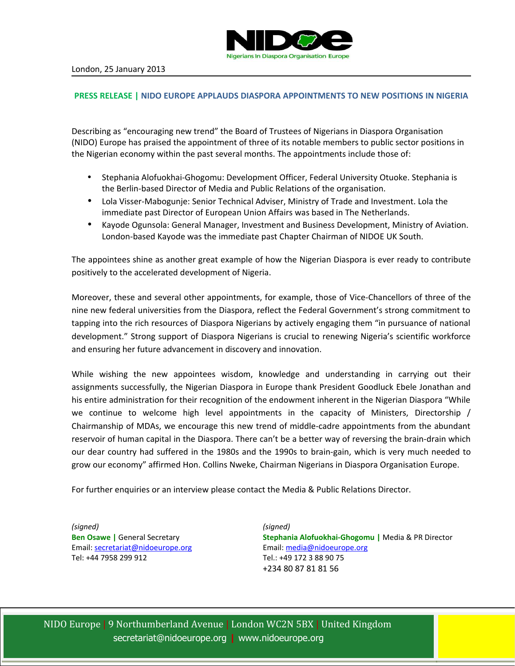

## **PRESS RELEASE | NIDO EUROPE APPLAUDS DIASPORA APPOINTMENTS TO NEW POSITIONS IN NIGERIA**

Describing as "encouraging new trend" the Board of Trustees of Nigerians in Diaspora Organisation (NIDO) Europe has praised the appointment of three of its notable members to public sector positions in the Nigerian economy within the past several months. The appointments include those of:

- Stephania Alofuokhai-Ghogomu: Development Officer, Federal University Otuoke. Stephania is the Berlin-based Director of Media and Public Relations of the organisation.
- Lola Visser-Mabogunje: Senior Technical Adviser, Ministry of Trade and Investment. Lola the immediate past Director of European Union Affairs was based in The Netherlands.
- Kayode Ogunsola: General Manager, Investment and Business Development, Ministry of Aviation. London-based Kayode was the immediate past Chapter Chairman of NIDOE UK South.

The appointees shine as another great example of how the Nigerian Diaspora is ever ready to contribute positively to the accelerated development of Nigeria.

Moreover, these and several other appointments, for example, those of Vice-Chancellors of three of the nine new federal universities from the Diaspora, reflect the Federal Government's strong commitment to tapping into the rich resources of Diaspora Nigerians by actively engaging them "in pursuance of national development." Strong support of Diaspora Nigerians is crucial to renewing Nigeria's scientific workforce and ensuring her future advancement in discovery and innovation.

While wishing the new appointees wisdom, knowledge and understanding in carrying out their assignments successfully, the Nigerian Diaspora in Europe thank President Goodluck Ebele Jonathan and his entire administration for their recognition of the endowment inherent in the Nigerian Diaspora "While we continue to welcome high level appointments in the capacity of Ministers, Directorship / Chairmanship of MDAs, we encourage this new trend of middle-cadre appointments from the abundant reservoir of human capital in the Diaspora. There can't be a better way of reversing the brain-drain which our dear country had suffered in the 1980s and the 1990s to brain-gain, which is very much needed to grow our economy" affirmed Hon. Collins Nweke, Chairman Nigerians in Diaspora Organisation Europe.

For further enquiries or an interview please contact the Media & Public Relations Director.

*(signed)* **Ben Osawe |** General Secretary Email: [secretariat@nidoeurope.org](mailto:secretariat@nidoeurope.org)  Tel: +44 7958 299 912

*(signed)* **Stephania Alofuokhai-Ghogomu |** Media & PR Director Email: [media@nidoeurope.org](mailto:media@nidoeurope.org)  Tel.: +49 172 3 88 90 75 +234 80 87 81 81 56

NIDO Europe | 9 Northumberland Avenue | London WC2N 5BX | United Kingdom [secretariat@nidoeurope.org](mailto:secretariat@nidoeurope.org) **|** www.nidoeurope.org